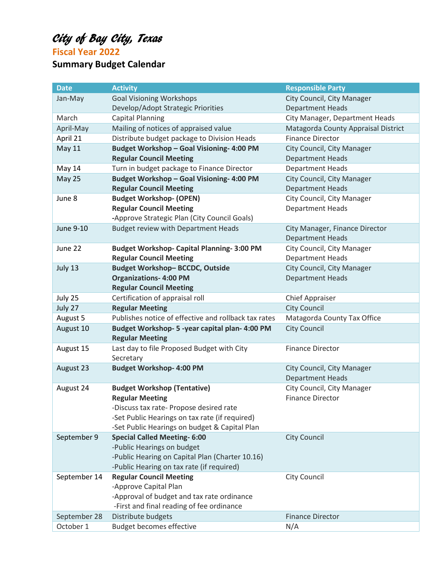## City of Bay City, Texas

**Fiscal Year 2022**

### **Summary Budget Calendar**

| City Council, City Manager<br>Jan-May<br><b>Goal Visioning Workshops</b><br>Develop/Adopt Strategic Priorities<br><b>Department Heads</b><br>March<br><b>Capital Planning</b><br>City Manager, Department Heads<br>Mailing of notices of appraised value<br>Matagorda County Appraisal District<br>April-May<br>Distribute budget package to Division Heads<br><b>Finance Director</b><br>April 21<br>Budget Workshop - Goal Visioning- 4:00 PM<br><b>May 11</b><br>City Council, City Manager<br><b>Regular Council Meeting</b><br><b>Department Heads</b><br>May 14<br>Turn in budget package to Finance Director<br><b>Department Heads</b><br>Budget Workshop - Goal Visioning- 4:00 PM<br>City Council, City Manager<br><b>May 25</b><br><b>Regular Council Meeting</b><br><b>Department Heads</b><br><b>Budget Workshop- (OPEN)</b><br>City Council, City Manager<br>June 8<br><b>Regular Council Meeting</b><br><b>Department Heads</b><br>-Approve Strategic Plan (City Council Goals)<br>June 9-10<br><b>Budget review with Department Heads</b><br>City Manager, Finance Director<br><b>Department Heads</b><br><b>Budget Workshop- Capital Planning-3:00 PM</b><br>City Council, City Manager<br>June 22<br><b>Regular Council Meeting</b><br><b>Department Heads</b><br><b>Budget Workshop-BCCDC, Outside</b><br>July 13<br>City Council, City Manager<br><b>Organizations-4:00 PM</b><br><b>Department Heads</b><br><b>Regular Council Meeting</b><br>July 25<br>Certification of appraisal roll<br><b>Chief Appraiser</b><br>July 27<br><b>Regular Meeting</b><br><b>City Council</b><br>Publishes notice of effective and rollback tax rates<br>Matagorda County Tax Office<br>August 5<br><b>City Council</b><br>August 10<br>Budget Workshop- 5 - year capital plan- 4:00 PM<br><b>Regular Meeting</b><br>Last day to file Proposed Budget with City<br>August 15<br><b>Finance Director</b><br>Secretary<br><b>Budget Workshop- 4:00 PM</b><br>August 23<br>City Council, City Manager<br><b>Department Heads</b><br><b>Budget Workshop (Tentative)</b><br>City Council, City Manager<br>August 24<br><b>Regular Meeting</b><br><b>Finance Director</b><br>-Discuss tax rate- Propose desired rate<br>-Set Public Hearings on tax rate (if required)<br>-Set Public Hearings on budget & Capital Plan<br><b>City Council</b><br>September 9<br><b>Special Called Meeting- 6:00</b><br>-Public Hearings on budget<br>-Public Hearing on Capital Plan (Charter 10.16)<br>-Public Hearing on tax rate (if required)<br>September 14<br><b>Regular Council Meeting</b><br>City Council<br>-Approve Capital Plan<br>-Approval of budget and tax rate ordinance<br>-First and final reading of fee ordinance<br>Distribute budgets<br><b>Finance Director</b><br>September 28 | <b>Date</b> | <b>Activity</b> | <b>Responsible Party</b> |
|-------------------------------------------------------------------------------------------------------------------------------------------------------------------------------------------------------------------------------------------------------------------------------------------------------------------------------------------------------------------------------------------------------------------------------------------------------------------------------------------------------------------------------------------------------------------------------------------------------------------------------------------------------------------------------------------------------------------------------------------------------------------------------------------------------------------------------------------------------------------------------------------------------------------------------------------------------------------------------------------------------------------------------------------------------------------------------------------------------------------------------------------------------------------------------------------------------------------------------------------------------------------------------------------------------------------------------------------------------------------------------------------------------------------------------------------------------------------------------------------------------------------------------------------------------------------------------------------------------------------------------------------------------------------------------------------------------------------------------------------------------------------------------------------------------------------------------------------------------------------------------------------------------------------------------------------------------------------------------------------------------------------------------------------------------------------------------------------------------------------------------------------------------------------------------------------------------------------------------------------------------------------------------------------------------------------------------------------------------------------------------------------------------------------------------------------------------------------------------------------------------------------------------------------------------------------------------------------------------------------------------------------------------------------------------------------------------------------------------------------------------------------------------------------|-------------|-----------------|--------------------------|
|                                                                                                                                                                                                                                                                                                                                                                                                                                                                                                                                                                                                                                                                                                                                                                                                                                                                                                                                                                                                                                                                                                                                                                                                                                                                                                                                                                                                                                                                                                                                                                                                                                                                                                                                                                                                                                                                                                                                                                                                                                                                                                                                                                                                                                                                                                                                                                                                                                                                                                                                                                                                                                                                                                                                                                                           |             |                 |                          |
|                                                                                                                                                                                                                                                                                                                                                                                                                                                                                                                                                                                                                                                                                                                                                                                                                                                                                                                                                                                                                                                                                                                                                                                                                                                                                                                                                                                                                                                                                                                                                                                                                                                                                                                                                                                                                                                                                                                                                                                                                                                                                                                                                                                                                                                                                                                                                                                                                                                                                                                                                                                                                                                                                                                                                                                           |             |                 |                          |
|                                                                                                                                                                                                                                                                                                                                                                                                                                                                                                                                                                                                                                                                                                                                                                                                                                                                                                                                                                                                                                                                                                                                                                                                                                                                                                                                                                                                                                                                                                                                                                                                                                                                                                                                                                                                                                                                                                                                                                                                                                                                                                                                                                                                                                                                                                                                                                                                                                                                                                                                                                                                                                                                                                                                                                                           |             |                 |                          |
|                                                                                                                                                                                                                                                                                                                                                                                                                                                                                                                                                                                                                                                                                                                                                                                                                                                                                                                                                                                                                                                                                                                                                                                                                                                                                                                                                                                                                                                                                                                                                                                                                                                                                                                                                                                                                                                                                                                                                                                                                                                                                                                                                                                                                                                                                                                                                                                                                                                                                                                                                                                                                                                                                                                                                                                           |             |                 |                          |
|                                                                                                                                                                                                                                                                                                                                                                                                                                                                                                                                                                                                                                                                                                                                                                                                                                                                                                                                                                                                                                                                                                                                                                                                                                                                                                                                                                                                                                                                                                                                                                                                                                                                                                                                                                                                                                                                                                                                                                                                                                                                                                                                                                                                                                                                                                                                                                                                                                                                                                                                                                                                                                                                                                                                                                                           |             |                 |                          |
|                                                                                                                                                                                                                                                                                                                                                                                                                                                                                                                                                                                                                                                                                                                                                                                                                                                                                                                                                                                                                                                                                                                                                                                                                                                                                                                                                                                                                                                                                                                                                                                                                                                                                                                                                                                                                                                                                                                                                                                                                                                                                                                                                                                                                                                                                                                                                                                                                                                                                                                                                                                                                                                                                                                                                                                           |             |                 |                          |
|                                                                                                                                                                                                                                                                                                                                                                                                                                                                                                                                                                                                                                                                                                                                                                                                                                                                                                                                                                                                                                                                                                                                                                                                                                                                                                                                                                                                                                                                                                                                                                                                                                                                                                                                                                                                                                                                                                                                                                                                                                                                                                                                                                                                                                                                                                                                                                                                                                                                                                                                                                                                                                                                                                                                                                                           |             |                 |                          |
|                                                                                                                                                                                                                                                                                                                                                                                                                                                                                                                                                                                                                                                                                                                                                                                                                                                                                                                                                                                                                                                                                                                                                                                                                                                                                                                                                                                                                                                                                                                                                                                                                                                                                                                                                                                                                                                                                                                                                                                                                                                                                                                                                                                                                                                                                                                                                                                                                                                                                                                                                                                                                                                                                                                                                                                           |             |                 |                          |
|                                                                                                                                                                                                                                                                                                                                                                                                                                                                                                                                                                                                                                                                                                                                                                                                                                                                                                                                                                                                                                                                                                                                                                                                                                                                                                                                                                                                                                                                                                                                                                                                                                                                                                                                                                                                                                                                                                                                                                                                                                                                                                                                                                                                                                                                                                                                                                                                                                                                                                                                                                                                                                                                                                                                                                                           |             |                 |                          |
|                                                                                                                                                                                                                                                                                                                                                                                                                                                                                                                                                                                                                                                                                                                                                                                                                                                                                                                                                                                                                                                                                                                                                                                                                                                                                                                                                                                                                                                                                                                                                                                                                                                                                                                                                                                                                                                                                                                                                                                                                                                                                                                                                                                                                                                                                                                                                                                                                                                                                                                                                                                                                                                                                                                                                                                           |             |                 |                          |
|                                                                                                                                                                                                                                                                                                                                                                                                                                                                                                                                                                                                                                                                                                                                                                                                                                                                                                                                                                                                                                                                                                                                                                                                                                                                                                                                                                                                                                                                                                                                                                                                                                                                                                                                                                                                                                                                                                                                                                                                                                                                                                                                                                                                                                                                                                                                                                                                                                                                                                                                                                                                                                                                                                                                                                                           |             |                 |                          |
|                                                                                                                                                                                                                                                                                                                                                                                                                                                                                                                                                                                                                                                                                                                                                                                                                                                                                                                                                                                                                                                                                                                                                                                                                                                                                                                                                                                                                                                                                                                                                                                                                                                                                                                                                                                                                                                                                                                                                                                                                                                                                                                                                                                                                                                                                                                                                                                                                                                                                                                                                                                                                                                                                                                                                                                           |             |                 |                          |
|                                                                                                                                                                                                                                                                                                                                                                                                                                                                                                                                                                                                                                                                                                                                                                                                                                                                                                                                                                                                                                                                                                                                                                                                                                                                                                                                                                                                                                                                                                                                                                                                                                                                                                                                                                                                                                                                                                                                                                                                                                                                                                                                                                                                                                                                                                                                                                                                                                                                                                                                                                                                                                                                                                                                                                                           |             |                 |                          |
|                                                                                                                                                                                                                                                                                                                                                                                                                                                                                                                                                                                                                                                                                                                                                                                                                                                                                                                                                                                                                                                                                                                                                                                                                                                                                                                                                                                                                                                                                                                                                                                                                                                                                                                                                                                                                                                                                                                                                                                                                                                                                                                                                                                                                                                                                                                                                                                                                                                                                                                                                                                                                                                                                                                                                                                           |             |                 |                          |
|                                                                                                                                                                                                                                                                                                                                                                                                                                                                                                                                                                                                                                                                                                                                                                                                                                                                                                                                                                                                                                                                                                                                                                                                                                                                                                                                                                                                                                                                                                                                                                                                                                                                                                                                                                                                                                                                                                                                                                                                                                                                                                                                                                                                                                                                                                                                                                                                                                                                                                                                                                                                                                                                                                                                                                                           |             |                 |                          |
|                                                                                                                                                                                                                                                                                                                                                                                                                                                                                                                                                                                                                                                                                                                                                                                                                                                                                                                                                                                                                                                                                                                                                                                                                                                                                                                                                                                                                                                                                                                                                                                                                                                                                                                                                                                                                                                                                                                                                                                                                                                                                                                                                                                                                                                                                                                                                                                                                                                                                                                                                                                                                                                                                                                                                                                           |             |                 |                          |
|                                                                                                                                                                                                                                                                                                                                                                                                                                                                                                                                                                                                                                                                                                                                                                                                                                                                                                                                                                                                                                                                                                                                                                                                                                                                                                                                                                                                                                                                                                                                                                                                                                                                                                                                                                                                                                                                                                                                                                                                                                                                                                                                                                                                                                                                                                                                                                                                                                                                                                                                                                                                                                                                                                                                                                                           |             |                 |                          |
|                                                                                                                                                                                                                                                                                                                                                                                                                                                                                                                                                                                                                                                                                                                                                                                                                                                                                                                                                                                                                                                                                                                                                                                                                                                                                                                                                                                                                                                                                                                                                                                                                                                                                                                                                                                                                                                                                                                                                                                                                                                                                                                                                                                                                                                                                                                                                                                                                                                                                                                                                                                                                                                                                                                                                                                           |             |                 |                          |
|                                                                                                                                                                                                                                                                                                                                                                                                                                                                                                                                                                                                                                                                                                                                                                                                                                                                                                                                                                                                                                                                                                                                                                                                                                                                                                                                                                                                                                                                                                                                                                                                                                                                                                                                                                                                                                                                                                                                                                                                                                                                                                                                                                                                                                                                                                                                                                                                                                                                                                                                                                                                                                                                                                                                                                                           |             |                 |                          |
|                                                                                                                                                                                                                                                                                                                                                                                                                                                                                                                                                                                                                                                                                                                                                                                                                                                                                                                                                                                                                                                                                                                                                                                                                                                                                                                                                                                                                                                                                                                                                                                                                                                                                                                                                                                                                                                                                                                                                                                                                                                                                                                                                                                                                                                                                                                                                                                                                                                                                                                                                                                                                                                                                                                                                                                           |             |                 |                          |
|                                                                                                                                                                                                                                                                                                                                                                                                                                                                                                                                                                                                                                                                                                                                                                                                                                                                                                                                                                                                                                                                                                                                                                                                                                                                                                                                                                                                                                                                                                                                                                                                                                                                                                                                                                                                                                                                                                                                                                                                                                                                                                                                                                                                                                                                                                                                                                                                                                                                                                                                                                                                                                                                                                                                                                                           |             |                 |                          |
|                                                                                                                                                                                                                                                                                                                                                                                                                                                                                                                                                                                                                                                                                                                                                                                                                                                                                                                                                                                                                                                                                                                                                                                                                                                                                                                                                                                                                                                                                                                                                                                                                                                                                                                                                                                                                                                                                                                                                                                                                                                                                                                                                                                                                                                                                                                                                                                                                                                                                                                                                                                                                                                                                                                                                                                           |             |                 |                          |
|                                                                                                                                                                                                                                                                                                                                                                                                                                                                                                                                                                                                                                                                                                                                                                                                                                                                                                                                                                                                                                                                                                                                                                                                                                                                                                                                                                                                                                                                                                                                                                                                                                                                                                                                                                                                                                                                                                                                                                                                                                                                                                                                                                                                                                                                                                                                                                                                                                                                                                                                                                                                                                                                                                                                                                                           |             |                 |                          |
|                                                                                                                                                                                                                                                                                                                                                                                                                                                                                                                                                                                                                                                                                                                                                                                                                                                                                                                                                                                                                                                                                                                                                                                                                                                                                                                                                                                                                                                                                                                                                                                                                                                                                                                                                                                                                                                                                                                                                                                                                                                                                                                                                                                                                                                                                                                                                                                                                                                                                                                                                                                                                                                                                                                                                                                           |             |                 |                          |
|                                                                                                                                                                                                                                                                                                                                                                                                                                                                                                                                                                                                                                                                                                                                                                                                                                                                                                                                                                                                                                                                                                                                                                                                                                                                                                                                                                                                                                                                                                                                                                                                                                                                                                                                                                                                                                                                                                                                                                                                                                                                                                                                                                                                                                                                                                                                                                                                                                                                                                                                                                                                                                                                                                                                                                                           |             |                 |                          |
|                                                                                                                                                                                                                                                                                                                                                                                                                                                                                                                                                                                                                                                                                                                                                                                                                                                                                                                                                                                                                                                                                                                                                                                                                                                                                                                                                                                                                                                                                                                                                                                                                                                                                                                                                                                                                                                                                                                                                                                                                                                                                                                                                                                                                                                                                                                                                                                                                                                                                                                                                                                                                                                                                                                                                                                           |             |                 |                          |
|                                                                                                                                                                                                                                                                                                                                                                                                                                                                                                                                                                                                                                                                                                                                                                                                                                                                                                                                                                                                                                                                                                                                                                                                                                                                                                                                                                                                                                                                                                                                                                                                                                                                                                                                                                                                                                                                                                                                                                                                                                                                                                                                                                                                                                                                                                                                                                                                                                                                                                                                                                                                                                                                                                                                                                                           |             |                 |                          |
|                                                                                                                                                                                                                                                                                                                                                                                                                                                                                                                                                                                                                                                                                                                                                                                                                                                                                                                                                                                                                                                                                                                                                                                                                                                                                                                                                                                                                                                                                                                                                                                                                                                                                                                                                                                                                                                                                                                                                                                                                                                                                                                                                                                                                                                                                                                                                                                                                                                                                                                                                                                                                                                                                                                                                                                           |             |                 |                          |
|                                                                                                                                                                                                                                                                                                                                                                                                                                                                                                                                                                                                                                                                                                                                                                                                                                                                                                                                                                                                                                                                                                                                                                                                                                                                                                                                                                                                                                                                                                                                                                                                                                                                                                                                                                                                                                                                                                                                                                                                                                                                                                                                                                                                                                                                                                                                                                                                                                                                                                                                                                                                                                                                                                                                                                                           |             |                 |                          |
|                                                                                                                                                                                                                                                                                                                                                                                                                                                                                                                                                                                                                                                                                                                                                                                                                                                                                                                                                                                                                                                                                                                                                                                                                                                                                                                                                                                                                                                                                                                                                                                                                                                                                                                                                                                                                                                                                                                                                                                                                                                                                                                                                                                                                                                                                                                                                                                                                                                                                                                                                                                                                                                                                                                                                                                           |             |                 |                          |
|                                                                                                                                                                                                                                                                                                                                                                                                                                                                                                                                                                                                                                                                                                                                                                                                                                                                                                                                                                                                                                                                                                                                                                                                                                                                                                                                                                                                                                                                                                                                                                                                                                                                                                                                                                                                                                                                                                                                                                                                                                                                                                                                                                                                                                                                                                                                                                                                                                                                                                                                                                                                                                                                                                                                                                                           |             |                 |                          |
|                                                                                                                                                                                                                                                                                                                                                                                                                                                                                                                                                                                                                                                                                                                                                                                                                                                                                                                                                                                                                                                                                                                                                                                                                                                                                                                                                                                                                                                                                                                                                                                                                                                                                                                                                                                                                                                                                                                                                                                                                                                                                                                                                                                                                                                                                                                                                                                                                                                                                                                                                                                                                                                                                                                                                                                           |             |                 |                          |
|                                                                                                                                                                                                                                                                                                                                                                                                                                                                                                                                                                                                                                                                                                                                                                                                                                                                                                                                                                                                                                                                                                                                                                                                                                                                                                                                                                                                                                                                                                                                                                                                                                                                                                                                                                                                                                                                                                                                                                                                                                                                                                                                                                                                                                                                                                                                                                                                                                                                                                                                                                                                                                                                                                                                                                                           |             |                 |                          |
|                                                                                                                                                                                                                                                                                                                                                                                                                                                                                                                                                                                                                                                                                                                                                                                                                                                                                                                                                                                                                                                                                                                                                                                                                                                                                                                                                                                                                                                                                                                                                                                                                                                                                                                                                                                                                                                                                                                                                                                                                                                                                                                                                                                                                                                                                                                                                                                                                                                                                                                                                                                                                                                                                                                                                                                           |             |                 |                          |
|                                                                                                                                                                                                                                                                                                                                                                                                                                                                                                                                                                                                                                                                                                                                                                                                                                                                                                                                                                                                                                                                                                                                                                                                                                                                                                                                                                                                                                                                                                                                                                                                                                                                                                                                                                                                                                                                                                                                                                                                                                                                                                                                                                                                                                                                                                                                                                                                                                                                                                                                                                                                                                                                                                                                                                                           |             |                 |                          |
|                                                                                                                                                                                                                                                                                                                                                                                                                                                                                                                                                                                                                                                                                                                                                                                                                                                                                                                                                                                                                                                                                                                                                                                                                                                                                                                                                                                                                                                                                                                                                                                                                                                                                                                                                                                                                                                                                                                                                                                                                                                                                                                                                                                                                                                                                                                                                                                                                                                                                                                                                                                                                                                                                                                                                                                           |             |                 |                          |
|                                                                                                                                                                                                                                                                                                                                                                                                                                                                                                                                                                                                                                                                                                                                                                                                                                                                                                                                                                                                                                                                                                                                                                                                                                                                                                                                                                                                                                                                                                                                                                                                                                                                                                                                                                                                                                                                                                                                                                                                                                                                                                                                                                                                                                                                                                                                                                                                                                                                                                                                                                                                                                                                                                                                                                                           |             |                 |                          |
|                                                                                                                                                                                                                                                                                                                                                                                                                                                                                                                                                                                                                                                                                                                                                                                                                                                                                                                                                                                                                                                                                                                                                                                                                                                                                                                                                                                                                                                                                                                                                                                                                                                                                                                                                                                                                                                                                                                                                                                                                                                                                                                                                                                                                                                                                                                                                                                                                                                                                                                                                                                                                                                                                                                                                                                           |             |                 |                          |
|                                                                                                                                                                                                                                                                                                                                                                                                                                                                                                                                                                                                                                                                                                                                                                                                                                                                                                                                                                                                                                                                                                                                                                                                                                                                                                                                                                                                                                                                                                                                                                                                                                                                                                                                                                                                                                                                                                                                                                                                                                                                                                                                                                                                                                                                                                                                                                                                                                                                                                                                                                                                                                                                                                                                                                                           |             |                 |                          |
|                                                                                                                                                                                                                                                                                                                                                                                                                                                                                                                                                                                                                                                                                                                                                                                                                                                                                                                                                                                                                                                                                                                                                                                                                                                                                                                                                                                                                                                                                                                                                                                                                                                                                                                                                                                                                                                                                                                                                                                                                                                                                                                                                                                                                                                                                                                                                                                                                                                                                                                                                                                                                                                                                                                                                                                           |             |                 |                          |
|                                                                                                                                                                                                                                                                                                                                                                                                                                                                                                                                                                                                                                                                                                                                                                                                                                                                                                                                                                                                                                                                                                                                                                                                                                                                                                                                                                                                                                                                                                                                                                                                                                                                                                                                                                                                                                                                                                                                                                                                                                                                                                                                                                                                                                                                                                                                                                                                                                                                                                                                                                                                                                                                                                                                                                                           |             |                 |                          |
| October 1<br><b>Budget becomes effective</b><br>N/A                                                                                                                                                                                                                                                                                                                                                                                                                                                                                                                                                                                                                                                                                                                                                                                                                                                                                                                                                                                                                                                                                                                                                                                                                                                                                                                                                                                                                                                                                                                                                                                                                                                                                                                                                                                                                                                                                                                                                                                                                                                                                                                                                                                                                                                                                                                                                                                                                                                                                                                                                                                                                                                                                                                                       |             |                 |                          |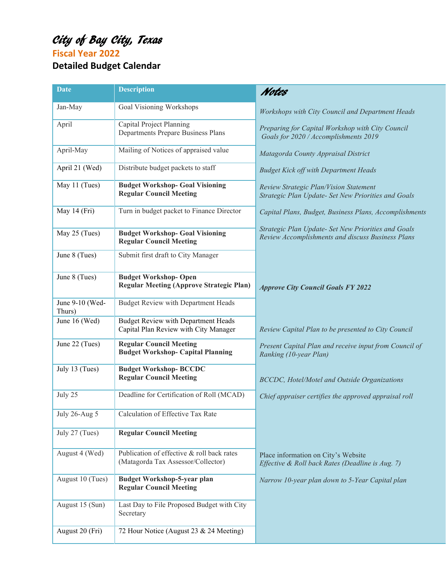# City of Bay City, Texas

**Fiscal Year 2022**

## **Detailed Budget Calendar**

| <b>Date</b>               | <b>Description</b>                                                                  | Notes                                                                                                    |
|---------------------------|-------------------------------------------------------------------------------------|----------------------------------------------------------------------------------------------------------|
| Jan-May                   | Goal Visioning Workshops                                                            | Workshops with City Council and Department Heads                                                         |
| April                     | Capital Project Planning<br>Departments Prepare Business Plans                      | Preparing for Capital Workshop with City Council<br>Goals for 2020 / Accomplishments 2019                |
| April-May                 | Mailing of Notices of appraised value                                               | Matagorda County Appraisal District                                                                      |
| April 21 (Wed)            | Distribute budget packets to staff                                                  | <b>Budget Kick off with Department Heads</b>                                                             |
| May 11 (Tues)             | <b>Budget Workshop- Goal Visioning</b><br><b>Regular Council Meeting</b>            | Review Strategic Plan/Vision Statement<br>Strategic Plan Update- Set New Priorities and Goals            |
| May 14 (Fri)              | Turn in budget packet to Finance Director                                           | Capital Plans, Budget, Business Plans, Accomplishments                                                   |
| May 25 (Tues)             | <b>Budget Workshop- Goal Visioning</b><br><b>Regular Council Meeting</b>            | Strategic Plan Update- Set New Priorities and Goals<br>Review Accomplishments and discuss Business Plans |
| June 8 (Tues)             | Submit first draft to City Manager                                                  |                                                                                                          |
| June 8 (Tues)             | <b>Budget Workshop-Open</b><br><b>Regular Meeting (Approve Strategic Plan)</b>      | <b>Approve City Council Goals FY 2022</b>                                                                |
| June 9-10 (Wed-<br>Thurs) | <b>Budget Review with Department Heads</b>                                          |                                                                                                          |
| June 16 (Wed)             | <b>Budget Review with Department Heads</b><br>Capital Plan Review with City Manager | Review Capital Plan to be presented to City Council                                                      |
| June 22 (Tues)            | <b>Regular Council Meeting</b><br><b>Budget Workshop- Capital Planning</b>          | Present Capital Plan and receive input from Council of<br>Ranking (10-year Plan)                         |
| July 13 (Tues)            | <b>Budget Workshop-BCCDC</b><br><b>Regular Council Meeting</b>                      | <b>BCCDC</b> , Hotel/Motel and Outside Organizations                                                     |
| July 25                   | Deadline for Certification of Roll (MCAD)                                           | Chief appraiser certifies the approved appraisal roll                                                    |
| July 26-Aug 5             | Calculation of Effective Tax Rate                                                   |                                                                                                          |
| July 27 (Tues)            | <b>Regular Council Meeting</b>                                                      |                                                                                                          |
| August 4 (Wed)            | Publication of effective & roll back rates<br>(Matagorda Tax Assessor/Collector)    | Place information on City's Website<br>Effective & Roll back Rates (Deadline is Aug. 7)                  |
| August 10 (Tues)          | <b>Budget Workshop-5-year plan</b><br><b>Regular Council Meeting</b>                | Narrow 10-year plan down to 5-Year Capital plan                                                          |
| August 15 (Sun)           | Last Day to File Proposed Budget with City<br>Secretary                             |                                                                                                          |
| August 20 (Fri)           | 72 Hour Notice (August 23 & 24 Meeting)                                             |                                                                                                          |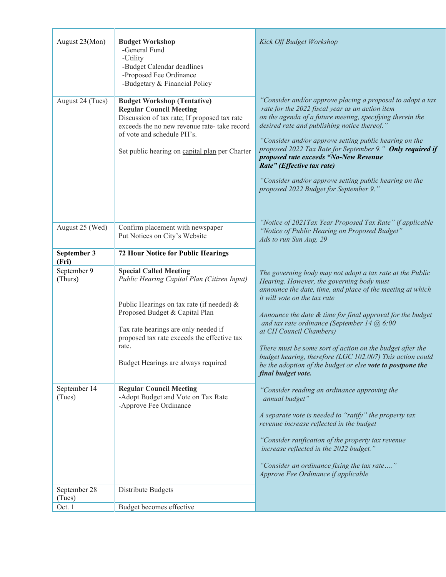| August 23(Mon)         | <b>Budget Workshop</b><br>-General Fund<br>-Utility<br>-Budget Calendar deadlines<br>-Proposed Fee Ordinance<br>-Budgetary & Financial Policy                                                                                                                                                      | Kick Off Budget Workshop                                                                                                                                                                                                                                                                                                                                                                                                                                                                                                                                     |
|------------------------|----------------------------------------------------------------------------------------------------------------------------------------------------------------------------------------------------------------------------------------------------------------------------------------------------|--------------------------------------------------------------------------------------------------------------------------------------------------------------------------------------------------------------------------------------------------------------------------------------------------------------------------------------------------------------------------------------------------------------------------------------------------------------------------------------------------------------------------------------------------------------|
| August 24 (Tues)       | <b>Budget Workshop (Tentative)</b><br><b>Regular Council Meeting</b><br>Discussion of tax rate; If proposed tax rate<br>exceeds the no new revenue rate- take record<br>of vote and schedule PH's.<br>Set public hearing on capital plan per Charter                                               | "Consider and/or approve placing a proposal to adopt a tax<br>rate for the 2022 fiscal year as an action item<br>on the agenda of a future meeting, specifying therein the<br>desired rate and publishing notice thereof."<br>"Consider and/or approve setting public hearing on the<br>proposed 2022 Tax Rate for September 9." Only required if<br>proposed rate exceeds "No-New Revenue<br>Rate" (Effective tax rate)<br>"Consider and/or approve setting public hearing on the<br>proposed 2022 Budget for September 9."                                 |
| August 25 (Wed)        | Confirm placement with newspaper<br>Put Notices on City's Website                                                                                                                                                                                                                                  | "Notice of 2021 Tax Year Proposed Tax Rate" if applicable<br>"Notice of Public Hearing on Proposed Budget"<br>Ads to run Sun Aug. 29                                                                                                                                                                                                                                                                                                                                                                                                                         |
| September 3<br>(Fri)   | <b>72 Hour Notice for Public Hearings</b>                                                                                                                                                                                                                                                          |                                                                                                                                                                                                                                                                                                                                                                                                                                                                                                                                                              |
| September 9<br>(Thurs) | <b>Special Called Meeting</b><br>Public Hearing Capital Plan (Citizen Input)<br>Public Hearings on tax rate (if needed) &<br>Proposed Budget & Capital Plan<br>Tax rate hearings are only needed if<br>proposed tax rate exceeds the effective tax<br>rate.<br>Budget Hearings are always required | The governing body may not adopt a tax rate at the Public<br>Hearing. However, the governing body must<br>announce the date, time, and place of the meeting at which<br>it will vote on the tax rate<br>Announce the date & time for final approval for the budget<br>and tax rate ordinance (September 14 $@$ 6:00<br>at CH Council Chambers)<br>There must be some sort of action on the budget after the<br>budget hearing, therefore (LGC 102.007) This action could<br>be the adoption of the budget or else vote to postpone the<br>final budget vote. |
| September 14<br>(Tues) | <b>Regular Council Meeting</b><br>-Adopt Budget and Vote on Tax Rate<br>-Approve Fee Ordinance                                                                                                                                                                                                     | "Consider reading an ordinance approving the<br>annual budget"<br>A separate vote is needed to "ratify" the property tax<br>revenue increase reflected in the budget<br>"Consider ratification of the property tax revenue<br>increase reflected in the 2022 budget."<br>"Consider an ordinance fixing the tax rate"<br>Approve Fee Ordinance if applicable                                                                                                                                                                                                  |
| September 28<br>(Tues) | Distribute Budgets                                                                                                                                                                                                                                                                                 |                                                                                                                                                                                                                                                                                                                                                                                                                                                                                                                                                              |
| Oct. 1                 | Budget becomes effective                                                                                                                                                                                                                                                                           |                                                                                                                                                                                                                                                                                                                                                                                                                                                                                                                                                              |